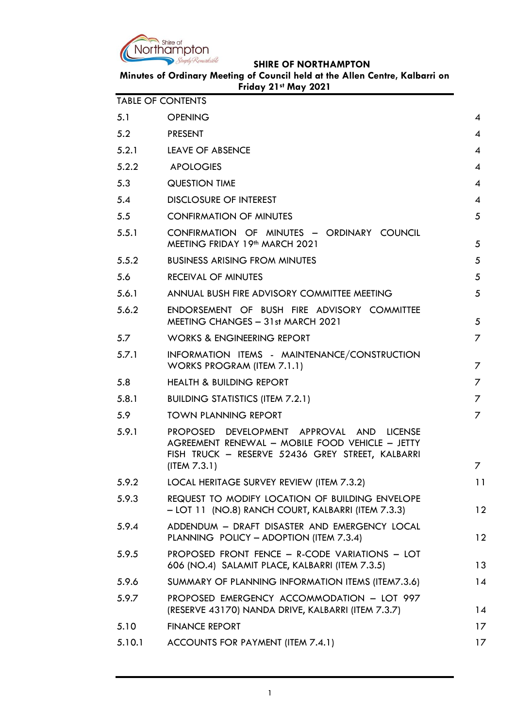

| Minutes of Ordinary Meeting of Council held at the Allen Centre, Kalbarri on |
|------------------------------------------------------------------------------|
| Friday 21st May 2021                                                         |

| <b>TABLE OF CONTENTS</b> |                                                                                                                                                                  |                |
|--------------------------|------------------------------------------------------------------------------------------------------------------------------------------------------------------|----------------|
| 5.1                      | <b>OPENING</b>                                                                                                                                                   | 4              |
| 5.2                      | <b>PRESENT</b>                                                                                                                                                   | $\overline{4}$ |
| 5.2.1                    | <b>LEAVE OF ABSENCE</b>                                                                                                                                          | 4              |
| 5.2.2                    | <b>APOLOGIES</b>                                                                                                                                                 | 4              |
| 5.3                      | <b>QUESTION TIME</b>                                                                                                                                             | 4              |
| 5.4                      | <b>DISCLOSURE OF INTEREST</b>                                                                                                                                    | 4              |
| 5.5                      | <b>CONFIRMATION OF MINUTES</b>                                                                                                                                   | 5              |
| 5.5.1                    | CONFIRMATION OF MINUTES - ORDINARY COUNCIL<br>MEETING FRIDAY 19th MARCH 2021                                                                                     | 5              |
| 5.5.2                    | <b>BUSINESS ARISING FROM MINUTES</b>                                                                                                                             | 5              |
| 5.6                      | <b>RECEIVAL OF MINUTES</b>                                                                                                                                       | 5              |
| 5.6.1                    | ANNUAL BUSH FIRE ADVISORY COMMITTEE MEETING                                                                                                                      | 5              |
| 5.6.2                    | ENDORSEMENT OF BUSH FIRE ADVISORY COMMITTEE<br>MEETING CHANGES - 31st MARCH 2021                                                                                 | 5              |
| 5.7                      | <b>WORKS &amp; ENGINEERING REPORT</b>                                                                                                                            | 7              |
| 5.7.1                    | INFORMATION ITEMS - MAINTENANCE/CONSTRUCTION<br>WORKS PROGRAM (ITEM 7.1.1)                                                                                       | 7              |
| 5.8                      | <b>HEALTH &amp; BUILDING REPORT</b>                                                                                                                              | 7              |
| 5.8.1                    | <b>BUILDING STATISTICS (ITEM 7.2.1)</b>                                                                                                                          | 7              |
| 5.9                      | <b>TOWN PLANNING REPORT</b>                                                                                                                                      | 7              |
| 5.9.1                    | PROPOSED DEVELOPMENT APPROVAL AND LICENSE<br>AGREEMENT RENEWAL - MOBILE FOOD VEHICLE - JETTY<br>FISH TRUCK - RESERVE 52436 GREY STREET, KALBARRI<br>(IFEM 7.3.1) | 7              |
| 5.9.2                    | LOCAL HERITAGE SURVEY REVIEW (ITEM 7.3.2)                                                                                                                        | 11             |
| 5.9.3                    | REQUEST TO MODIFY LOCATION OF BUILDING ENVELOPE<br>- LOT 11 (NO.8) RANCH COURT, KALBARRI (ITEM 7.3.3)                                                            | 12             |
| 5.9.4                    | ADDENDUM - DRAFT DISASTER AND EMERGENCY LOCAL<br>PLANNING POLICY - ADOPTION (ITEM 7.3.4)                                                                         | 12             |
| 5.9.5                    | PROPOSED FRONT FENCE - R-CODE VARIATIONS - LOT<br>606 (NO.4) SALAMIT PLACE, KALBARRI (ITEM 7.3.5)                                                                | 13             |
| 5.9.6                    | SUMMARY OF PLANNING INFORMATION ITEMS (ITEM7.3.6)                                                                                                                | 14             |
| 5.9.7                    | PROPOSED EMERGENCY ACCOMMODATION - LOT 997<br>(RESERVE 43170) NANDA DRIVE, KALBARRI (ITEM 7.3.7)                                                                 | 14             |
| 5.10                     | <b>FINANCE REPORT</b>                                                                                                                                            | 17             |
| 5.10.1                   | ACCOUNTS FOR PAYMENT (ITEM 7.4.1)                                                                                                                                | 17             |
|                          |                                                                                                                                                                  |                |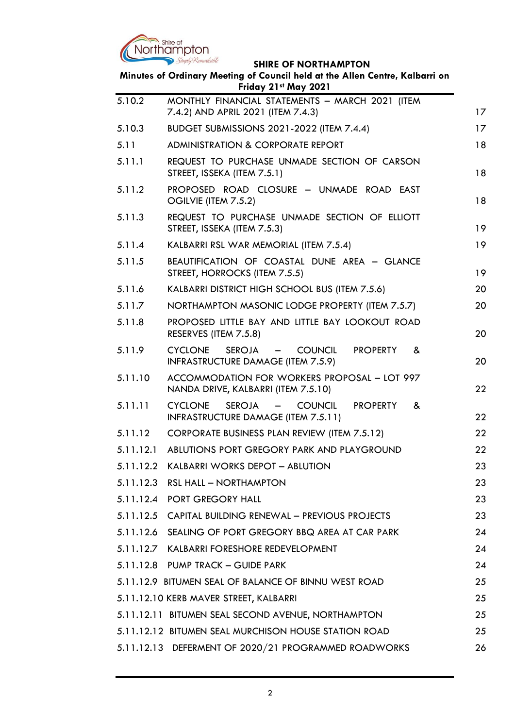

| JIIINL VI INVINIIIAINI IN<br>Minutes of Ordinary Meeting of Council held at the Allen Centre, Kalbarri on<br>Friday 21st May 2021 |                                                                                                                              |    |
|-----------------------------------------------------------------------------------------------------------------------------------|------------------------------------------------------------------------------------------------------------------------------|----|
| 5.10.2                                                                                                                            | MONTHLY FINANCIAL STATEMENTS - MARCH 2021 (ITEM<br>7.4.2) AND APRIL 2021 (ITEM 7.4.3)                                        | 17 |
| 5.10.3                                                                                                                            | BUDGET SUBMISSIONS 2021-2022 (ITEM 7.4.4)                                                                                    | 17 |
| 5.11                                                                                                                              | <b>ADMINISTRATION &amp; CORPORATE REPORT</b>                                                                                 | 18 |
| 5.11.1                                                                                                                            | REQUEST TO PURCHASE UNMADE SECTION OF CARSON<br>STREET, ISSEKA (ITEM 7.5.1)                                                  | 18 |
| 5.11.2                                                                                                                            | PROPOSED ROAD CLOSURE - UNMADE ROAD EAST<br>OGILVIE (ITEM 7.5.2)                                                             | 18 |
| 5.11.3                                                                                                                            | REQUEST TO PURCHASE UNMADE SECTION OF ELLIOTT<br>STREET, ISSEKA (ITEM 7.5.3)                                                 | 19 |
| 5.11.4                                                                                                                            | KALBARRI RSL WAR MEMORIAL (ITEM 7.5.4)                                                                                       | 19 |
| 5.11.5                                                                                                                            | BEAUTIFICATION OF COASTAL DUNE AREA - GLANCE<br>STREET, HORROCKS (ITEM 7.5.5)                                                | 19 |
| 5.11.6                                                                                                                            | KALBARRI DISTRICT HIGH SCHOOL BUS (ITEM 7.5.6)                                                                               | 20 |
| 5.11.7                                                                                                                            | NORTHAMPTON MASONIC LODGE PROPERTY (ITEM 7.5.7)                                                                              | 20 |
| 5.11.8                                                                                                                            | PROPOSED LITTLE BAY AND LITTLE BAY LOOKOUT ROAD<br>RESERVES (ITEM 7.5.8)                                                     | 20 |
| 5.11.9                                                                                                                            | <b>CYCLONE</b><br><b>SEROJA</b><br>- COUNCIL<br><b>PROPERTY</b><br>&<br>INFRASTRUCTURE DAMAGE (ITEM 7.5.9)                   | 20 |
| 5.11.10                                                                                                                           | ACCOMMODATION FOR WORKERS PROPOSAL - LOT 997<br>NANDA DRIVE, KALBARRI (ITEM 7.5.10)                                          | 22 |
| 5.11.11                                                                                                                           | <b>CYCLONE</b><br><b>SEROJA</b><br><b>COUNCIL</b><br><b>PROPERTY</b><br>$\equiv$<br>&<br>INFRASTRUCTURE DAMAGE (ITEM 7.5.11) | 22 |
| 5.11.12                                                                                                                           | <b>CORPORATE BUSINESS PLAN REVIEW (ITEM 7.5.12)</b>                                                                          | 22 |
| 5.11.12.1                                                                                                                         | ABLUTIONS PORT GREGORY PARK AND PLAYGROUND                                                                                   | 22 |
|                                                                                                                                   | 5.11.12.2 KALBARRI WORKS DEPOT - ABLUTION                                                                                    | 23 |
|                                                                                                                                   | 5.11.12.3 RSL HALL - NORTHAMPTON                                                                                             | 23 |
|                                                                                                                                   | 5.11.12.4 PORT GREGORY HALL                                                                                                  | 23 |
|                                                                                                                                   | 5.11.12.5 CAPITAL BUILDING RENEWAL - PREVIOUS PROJECTS                                                                       | 23 |
|                                                                                                                                   | 5.11.12.6 SEALING OF PORT GREGORY BBQ AREA AT CAR PARK                                                                       | 24 |
|                                                                                                                                   | 5.11.12.7 KALBARRI FORESHORE REDEVELOPMENT                                                                                   | 24 |
|                                                                                                                                   | 5.11.12.8 PUMP TRACK - GUIDE PARK                                                                                            | 24 |
|                                                                                                                                   | 5.11.12.9 BITUMEN SEAL OF BALANCE OF BINNU WEST ROAD                                                                         | 25 |
|                                                                                                                                   | 5.11.12.10 KERB MAVER STREET, KALBARRI                                                                                       | 25 |
|                                                                                                                                   | 5.11.12.11 BITUMEN SEAL SECOND AVENUE, NORTHAMPTON                                                                           | 25 |
|                                                                                                                                   | 5.11.12.12 BITUMEN SEAL MURCHISON HOUSE STATION ROAD                                                                         | 25 |
|                                                                                                                                   | 5.11.12.13 DEFERMENT OF 2020/21 PROGRAMMED ROADWORKS                                                                         | 26 |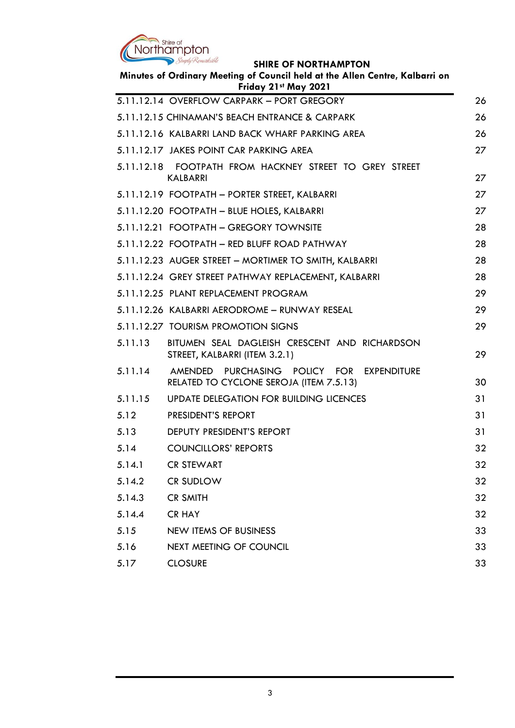

|         | Minutes of Ordinary Meeting of Council held at the Allen Centre, Kalbarri on<br>Friday 21st May 2021 |  |
|---------|------------------------------------------------------------------------------------------------------|--|
|         | 5.11.12.14 OVERFLOW CARPARK - PORT GREGORY                                                           |  |
|         | 5.11.12.15 CHINAMAN'S BEACH ENTRANCE & CARPARK                                                       |  |
|         | 5.11.12.16 KALBARRI LAND BACK WHARF PARKING AREA                                                     |  |
|         | 5.11.12.17 JAKES POINT CAR PARKING AREA                                                              |  |
|         | 5.11.12.18 FOOTPATH FROM HACKNEY STREET TO GREY STREET<br><b>KALBARRI</b>                            |  |
|         | 5.11.12.19 FOOTPATH - PORTER STREET, KALBARRI                                                        |  |
|         | 5.11.12.20 FOOTPATH - BLUE HOLES, KALBARRI                                                           |  |
|         | 5.11.12.21 FOOTPATH - GREGORY TOWNSITE                                                               |  |
|         | 5.11.12.22 FOOTPATH - RED BLUFF ROAD PATHWAY                                                         |  |
|         | 5.11.12.23 AUGER STREET - MORTIMER TO SMITH, KALBARRI                                                |  |
|         | 5.11.12.24 GREY STREET PATHWAY REPLACEMENT, KALBARRI                                                 |  |
|         | 5.11.12.25 PLANT REPLACEMENT PROGRAM                                                                 |  |
|         | 5.11.12.26 KALBARRI AERODROME - RUNWAY RESEAL                                                        |  |
|         | 5.11.12.27 TOURISM PROMOTION SIGNS                                                                   |  |
| 5.11.13 | BITUMEN SEAL DAGLEISH CRESCENT AND RICHARDSON<br>STREET, KALBARRI (ITEM 3.2.1)                       |  |
| 5.11.14 | AMENDED<br>PURCHASING POLICY FOR<br><b>EXPENDITURE</b><br>RELATED TO CYCLONE SEROJA (ITEM 7.5.13)    |  |
| 5.11.15 | UPDATE DELEGATION FOR BUILDING LICENCES                                                              |  |
| 5.12    | <b>PRESIDENT'S REPORT</b>                                                                            |  |
| 5.13    | DEPUTY PRESIDENT'S REPORT                                                                            |  |
| 5.14    | <b>COUNCILLORS' REPORTS</b>                                                                          |  |
| 5.14.1  | <b>CR STEWART</b>                                                                                    |  |
| 5.14.2  | CR SUDLOW                                                                                            |  |
| 5.14.3  | <b>CR SMITH</b>                                                                                      |  |
| 5.14.4  | <b>CR HAY</b>                                                                                        |  |
| 5.15    | <b>NEW ITEMS OF BUSINESS</b>                                                                         |  |
| 5.16    | NEXT MEETING OF COUNCIL                                                                              |  |
| 5.17    | <b>CLOSURE</b>                                                                                       |  |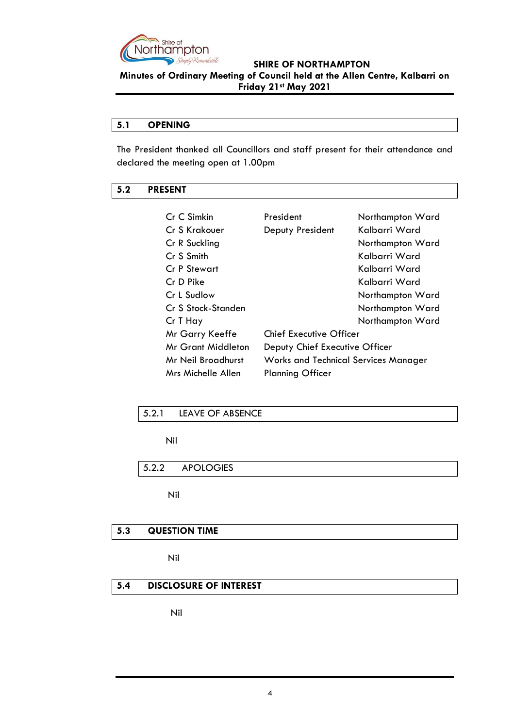

### **SHIRE OF NORTHAMPTON Minutes of Ordinary Meeting of Council held at the Allen Centre, Kalbarri on Friday 21st May 2021**

### <span id="page-3-0"></span>**5.1 OPENING**

The President thanked all Councillors and staff present for their attendance and declared the meeting open at 1.00pm

### <span id="page-3-1"></span>**5.2 PRESENT**

| Cr C Simkin         | President                                   | Northampton Ward |
|---------------------|---------------------------------------------|------------------|
| Cr S Krakouer       | Deputy President                            | Kalbarri Ward    |
| Cr R Suckling       |                                             | Northampton Ward |
| Cr S Smith          |                                             | Kalbarri Ward    |
| <b>Cr P Stewart</b> |                                             | Kalbarri Ward    |
| Cr D Pike           |                                             | Kalbarri Ward    |
| Cr L Sudlow         |                                             | Northampton Ward |
| Cr S Stock-Standen  |                                             | Northampton Ward |
| Cr T Hay            |                                             | Northampton Ward |
| Mr Garry Keeffe     | <b>Chief Executive Officer</b>              |                  |
| Mr Grant Middleton  | Deputy Chief Executive Officer              |                  |
| Mr Neil Broadhurst  | <b>Works and Technical Services Manager</b> |                  |
| Mrs Michelle Allen  | <b>Planning Officer</b>                     |                  |

### <span id="page-3-2"></span>5.2.1 LEAVE OF ABSENCE

Nil

<span id="page-3-3"></span>5.2.2 APOLOGIES

Nil

#### <span id="page-3-4"></span>**5.3 QUESTION TIME**

Nil

### <span id="page-3-5"></span>**5.4 DISCLOSURE OF INTEREST**

Nil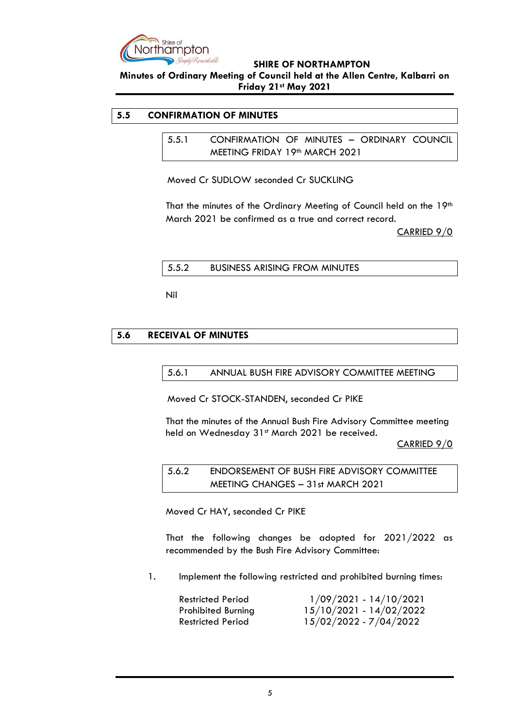

**Minutes of Ordinary Meeting of Council held at the Allen Centre, Kalbarri on Friday 21st May 2021**

### <span id="page-4-1"></span><span id="page-4-0"></span>**5.5 CONFIRMATION OF MINUTES**

5.5.1 CONFIRMATION OF MINUTES – ORDINARY COUNCIL MEETING FRIDAY 19<sup>th</sup> MARCH 2021

Moved Cr SUDLOW seconded Cr SUCKLING

That the minutes of the Ordinary Meeting of Council held on the 19th March 2021 be confirmed as a true and correct record.

CARRIED 9/0

<span id="page-4-2"></span>

| 5.5.2 | <b>BUSINESS ARISING FROM MINUTES</b> |
|-------|--------------------------------------|
|       |                                      |

Nil

### <span id="page-4-4"></span><span id="page-4-3"></span>**5.6 RECEIVAL OF MINUTES**

5.6.1 ANNUAL BUSH FIRE ADVISORY COMMITTEE MEETING

Moved Cr STOCK-STANDEN, seconded Cr PIKE

That the minutes of the Annual Bush Fire Advisory Committee meeting held on Wednesday 31st March 2021 be received.

CARRIED 9/0

<span id="page-4-5"></span>5.6.2 ENDORSEMENT OF BUSH FIRE ADVISORY COMMITTEE MEETING CHANGES – 31st MARCH 2021

Moved Cr HAY, seconded Cr PIKE

That the following changes be adopted for 2021/2022 as recommended by the Bush Fire Advisory Committee:

1. Implement the following restricted and prohibited burning times:

| <b>Restricted Period</b>  | $1/09/2021 - 14/10/2021$ |
|---------------------------|--------------------------|
| <b>Prohibited Burning</b> | 15/10/2021 - 14/02/2022  |
| <b>Restricted Period</b>  | 15/02/2022 - 7/04/2022   |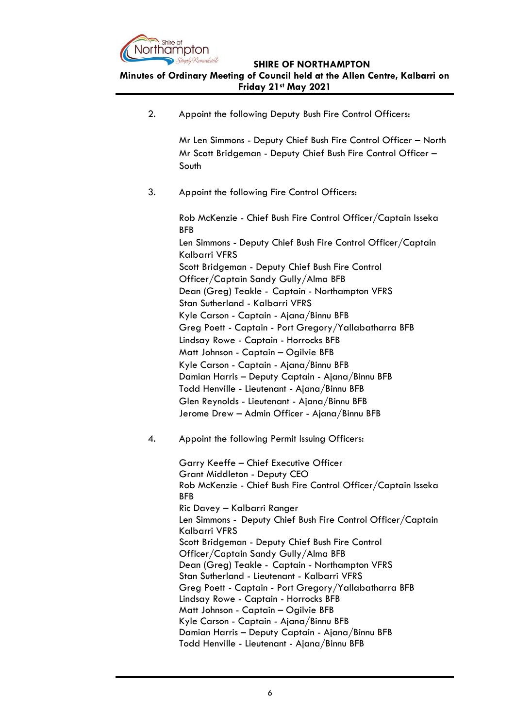

**Minutes of Ordinary Meeting of Council held at the Allen Centre, Kalbarri on Friday 21st May 2021**

2. Appoint the following Deputy Bush Fire Control Officers:

Mr Len Simmons - Deputy Chief Bush Fire Control Officer – North Mr Scott Bridgeman - Deputy Chief Bush Fire Control Officer – South

3. Appoint the following Fire Control Officers:

Rob McKenzie - Chief Bush Fire Control Officer/Captain Isseka BFB Len Simmons - Deputy Chief Bush Fire Control Officer/Captain Kalbarri VFRS Scott Bridgeman - Deputy Chief Bush Fire Control Officer/Captain Sandy Gully/Alma BFB Dean (Greg) Teakle - Captain - Northampton VFRS Stan Sutherland - Kalbarri VFRS Kyle Carson - Captain - Ajana/Binnu BFB Greg Poett - Captain - Port Gregory/Yallabatharra BFB Lindsay Rowe - Captain - Horrocks BFB Matt Johnson - Captain – Ogilvie BFB Kyle Carson - Captain - Ajana/Binnu BFB Damian Harris – Deputy Captain - Ajana/Binnu BFB Todd Henville - Lieutenant - Ajana/Binnu BFB Glen Reynolds - Lieutenant - Ajana/Binnu BFB Jerome Drew – Admin Officer - Ajana/Binnu BFB

4. Appoint the following Permit Issuing Officers:

Garry Keeffe – Chief Executive Officer Grant Middleton - Deputy CEO Rob McKenzie - Chief Bush Fire Control Officer/Captain Isseka BFB Ric Davey – Kalbarri Ranger Len Simmons - Deputy Chief Bush Fire Control Officer/Captain Kalbarri VFRS Scott Bridgeman - Deputy Chief Bush Fire Control Officer/Captain Sandy Gully/Alma BFB Dean (Greg) Teakle - Captain - Northampton VFRS Stan Sutherland - Lieutenant - Kalbarri VFRS Greg Poett - Captain - Port Gregory/Yallabatharra BFB Lindsay Rowe - Captain - Horrocks BFB Matt Johnson - Captain – Ogilvie BFB Kyle Carson - Captain - Ajana/Binnu BFB Damian Harris – Deputy Captain - Ajana/Binnu BFB Todd Henville - Lieutenant - Ajana/Binnu BFB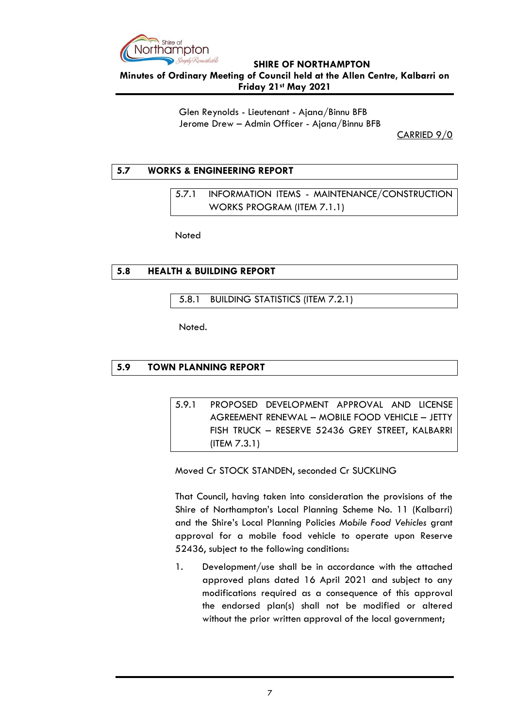

**Minutes of Ordinary Meeting of Council held at the Allen Centre, Kalbarri on Friday 21st May 2021**

> Glen Reynolds - Lieutenant - Ajana/Binnu BFB Jerome Drew – Admin Officer - Ajana/Binnu BFB

CARRIED 9/0

### <span id="page-6-1"></span><span id="page-6-0"></span>**5.7 WORKS & ENGINEERING REPORT**

5.7.1 INFORMATION ITEMS - MAINTENANCE/CONSTRUCTION WORKS PROGRAM (ITEM 7.1.1)

**Noted** 

### <span id="page-6-2"></span>**5.8 HEALTH & BUILDING REPORT**

<span id="page-6-3"></span>5.8.1 BUILDING STATISTICS (ITEM 7.2.1)

Noted.

### <span id="page-6-5"></span><span id="page-6-4"></span>**5.9 TOWN PLANNING REPORT**

5.9.1 PROPOSED DEVELOPMENT APPROVAL AND LICENSE AGREEMENT RENEWAL – MOBILE FOOD VEHICLE – JETTY FISH TRUCK – RESERVE 52436 GREY STREET, KALBARRI (ITEM 7.3.1)

Moved Cr STOCK STANDEN, seconded Cr SUCKLING

That Council, having taken into consideration the provisions of the Shire of Northampton's Local Planning Scheme No. 11 (Kalbarri) and the Shire's Local Planning Policies *Mobile Food Vehicles* grant approval for a mobile food vehicle to operate upon Reserve 52436, subject to the following conditions:

1. Development/use shall be in accordance with the attached approved plans dated 16 April 2021 and subject to any modifications required as a consequence of this approval the endorsed plan(s) shall not be modified or altered without the prior written approval of the local government;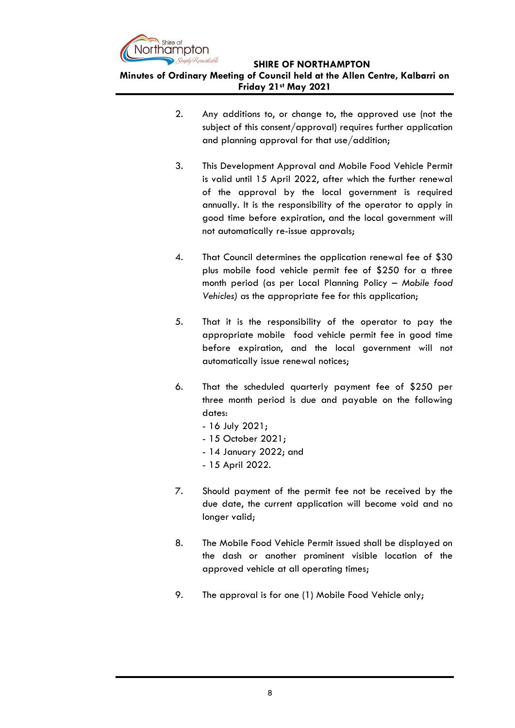

**Minutes of Ordinary Meeting of Council held at the Allen Centre, Kalbarri on Friday 21st May 2021**

- 2. Any additions to, or change to, the approved use (not the subject of this consent/approval) requires further application and planning approval for that use/addition;
- 3. This Development Approval and Mobile Food Vehicle Permit is valid until 15 April 2022, after which the further renewal of the approval by the local government is required annually. It is the responsibility of the operator to apply in good time before expiration, and the local government will not automatically re-issue approvals;
- 4. That Council determines the application renewal fee of \$30 plus mobile food vehicle permit fee of \$250 for a three month period (as per Local Planning Policy – *Mobile food Vehicles) a*s the appropriate fee for this application;
- 5. That it is the responsibility of the operator to pay the appropriate mobile food vehicle permit fee in good time before expiration, and the local government will not automatically issue renewal notices;
- 6. That the scheduled quarterly payment fee of \$250 per three month period is due and payable on the following dates:
	- 16 July 2021;
	- 15 October 2021;
	- 14 January 2022; and
	- 15 April 2022.
- 7. Should payment of the permit fee not be received by the due date, the current application will become void and no longer valid;
- 8. The Mobile Food Vehicle Permit issued shall be displayed on the dash or another prominent visible location of the approved vehicle at all operating times;
- 9. The approval is for one (1) Mobile Food Vehicle only;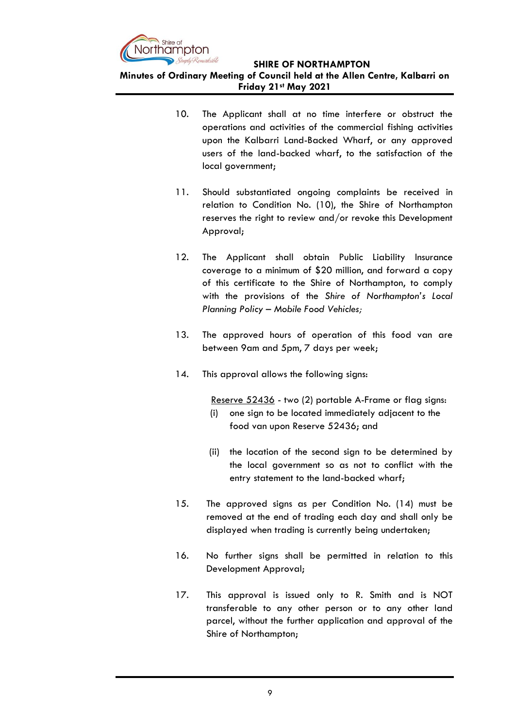

**Minutes of Ordinary Meeting of Council held at the Allen Centre, Kalbarri on Friday 21st May 2021**

- 10. The Applicant shall at no time interfere or obstruct the operations and activities of the commercial fishing activities upon the Kalbarri Land-Backed Wharf, or any approved users of the land-backed wharf, to the satisfaction of the local government;
- 11. Should substantiated ongoing complaints be received in relation to Condition No. (10), the Shire of Northampton reserves the right to review and/or revoke this Development Approval;
- 12. The Applicant shall obtain Public Liability Insurance coverage to a minimum of \$20 million, and forward a copy of this certificate to the Shire of Northampton, to comply with the provisions of the *Shire of Northampton's Local Planning Policy – Mobile Food Vehicles;*
- 13. The approved hours of operation of this food van are between 9am and 5pm, 7 days per week;
- 14. This approval allows the following signs:

Reserve 52436 - two (2) portable A-Frame or flag signs:

- (i) one sign to be located immediately adjacent to the food van upon Reserve 52436; and
- (ii) the location of the second sign to be determined by the local government so as not to conflict with the entry statement to the land-backed wharf;
- 15. The approved signs as per Condition No. (14) must be removed at the end of trading each day and shall only be displayed when trading is currently being undertaken;
- 16. No further signs shall be permitted in relation to this Development Approval;
- 17. This approval is issued only to R. Smith and is NOT transferable to any other person or to any other land parcel, without the further application and approval of the Shire of Northampton;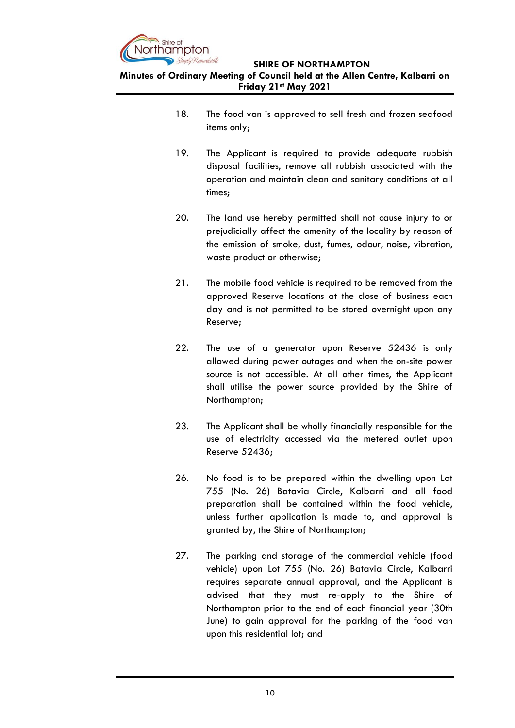

**Minutes of Ordinary Meeting of Council held at the Allen Centre, Kalbarri on Friday 21st May 2021**

- 18. The food van is approved to sell fresh and frozen seafood items only;
- 19. The Applicant is required to provide adequate rubbish disposal facilities, remove all rubbish associated with the operation and maintain clean and sanitary conditions at all times;
- 20. The land use hereby permitted shall not cause injury to or prejudicially affect the amenity of the locality by reason of the emission of smoke, dust, fumes, odour, noise, vibration, waste product or otherwise;
- 21. The mobile food vehicle is required to be removed from the approved Reserve locations at the close of business each day and is not permitted to be stored overnight upon any Reserve;
- 22. The use of a generator upon Reserve 52436 is only allowed during power outages and when the on-site power source is not accessible. At all other times, the Applicant shall utilise the power source provided by the Shire of Northampton;
- 23. The Applicant shall be wholly financially responsible for the use of electricity accessed via the metered outlet upon Reserve 52436;
- 26. No food is to be prepared within the dwelling upon Lot 755 (No. 26) Batavia Circle, Kalbarri and all food preparation shall be contained within the food vehicle, unless further application is made to, and approval is granted by, the Shire of Northampton;
- 27. The parking and storage of the commercial vehicle (food vehicle) upon Lot 755 (No. 26) Batavia Circle, Kalbarri requires separate annual approval, and the Applicant is advised that they must re-apply to the Shire of Northampton prior to the end of each financial year (30th June) to gain approval for the parking of the food van upon this residential lot; and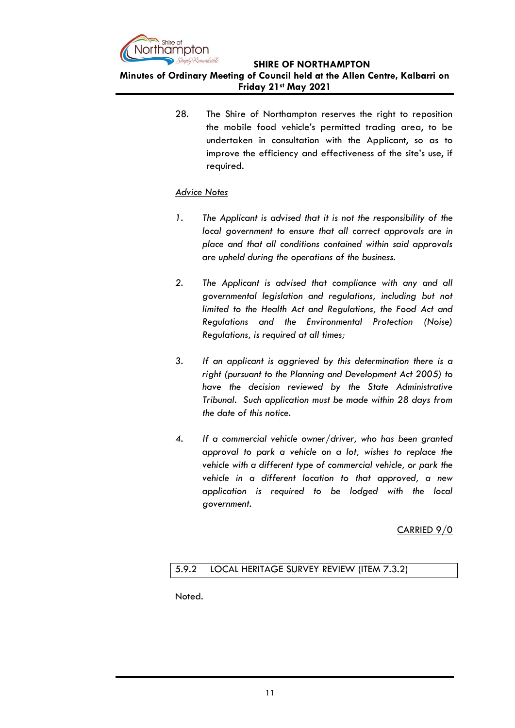

**Minutes of Ordinary Meeting of Council held at the Allen Centre, Kalbarri on Friday 21st May 2021**

> 28. The Shire of Northampton reserves the right to reposition the mobile food vehicle's permitted trading area, to be undertaken in consultation with the Applicant, so as to improve the efficiency and effectiveness of the site's use, if required.

### *Advice Notes*

- *1. The Applicant is advised that it is not the responsibility of the local government to ensure that all correct approvals are in place and that all conditions contained within said approvals are upheld during the operations of the business.*
- *2. The Applicant is advised that compliance with any and all governmental legislation and regulations, including but not limited to the Health Act and Regulations, the Food Act and Regulations and the Environmental Protection (Noise) Regulations, is required at all times;*
- *3. If an applicant is aggrieved by this determination there is a right (pursuant to the Planning and Development Act 2005) to have the decision reviewed by the State Administrative Tribunal. Such application must be made within 28 days from the date of this notice.*
- *4. If a commercial vehicle owner/driver, who has been granted approval to park a vehicle on a lot, wishes to replace the vehicle with a different type of commercial vehicle, or park the vehicle in a different location to that approved, a new application is required to be lodged with the local government.*

CARRIED 9/0

### <span id="page-10-0"></span>5.9.2 LOCAL HERITAGE SURVEY REVIEW (ITEM 7.3.2)

Noted.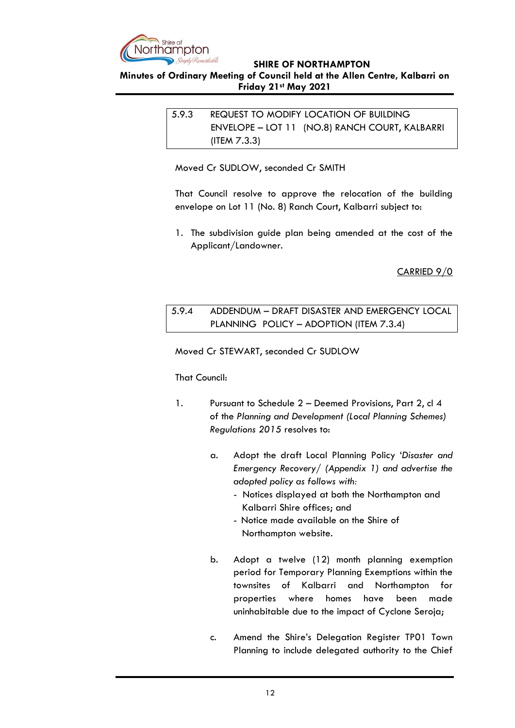

### <span id="page-11-0"></span>**Minutes of Ordinary Meeting of Council held at the Allen Centre, Kalbarri on Friday 21st May 2021**

# 5.9.3 REQUEST TO MODIFY LOCATION OF BUILDING ENVELOPE – LOT 11 (NO.8) RANCH COURT, KALBARRI (ITEM 7.3.3)

Moved Cr SUDLOW, seconded Cr SMITH

That Council resolve to approve the relocation of the building envelope on Lot 11 (No. 8) Ranch Court, Kalbarri subject to:

1. The subdivision guide plan being amended at the cost of the Applicant/Landowner.

CARRIED 9/0

<span id="page-11-1"></span>5.9.4 ADDENDUM – DRAFT DISASTER AND EMERGENCY LOCAL PLANNING POLICY – ADOPTION (ITEM 7.3.4)

Moved Cr STEWART, seconded Cr SUDLOW

### That Council:

- 1. Pursuant to Schedule 2 Deemed Provisions, Part 2, cl 4 of the *Planning and Development (Local Planning Schemes) Regulations 2015* resolves to:
	- a. Adopt the draft Local Planning Policy '*Disaster and Emergency Recovery/ (Appendix 1) and advertise the adopted policy as follows with:*
		- Notices displayed at both the Northampton and Kalbarri Shire offices; and
		- Notice made available on the Shire of Northampton website.
	- b. Adopt a twelve (12) month planning exemption period for Temporary Planning Exemptions within the townsites of Kalbarri and Northampton for properties where homes have been made uninhabitable due to the impact of Cyclone Seroja;
	- c. Amend the Shire's Delegation Register TP01 Town Planning to include delegated authority to the Chief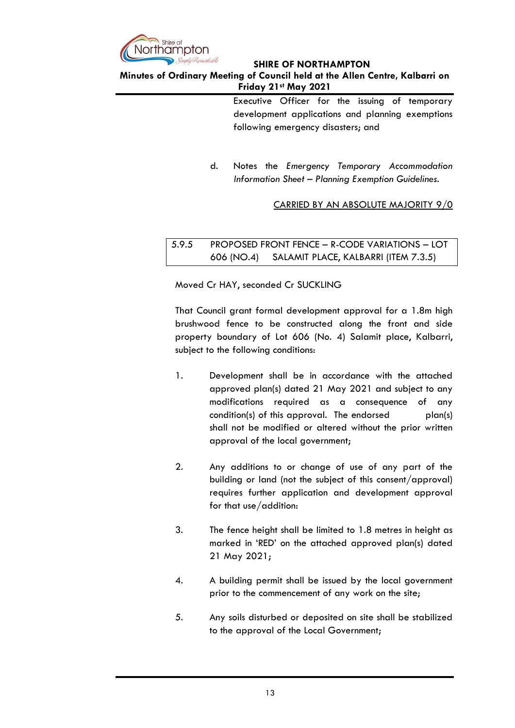

### **Minutes of Ordinary Meeting of Council held at the Allen Centre, Kalbarri on Friday 21st May 2021**

Executive Officer for the issuing of temporary development applications and planning exemptions following emergency disasters; and

d. Notes the *Emergency Temporary Accommodation Information Sheet – Planning Exemption Guidelines.*

CARRIED BY AN ABSOLUTE MAJORITY 9/0

<span id="page-12-0"></span>5.9.5 PROPOSED FRONT FENCE – R-CODE VARIATIONS – LOT 606 (NO.4) SALAMIT PLACE, KALBARRI (ITEM 7.3.5)

Moved Cr HAY, seconded Cr SUCKLING

That Council grant formal development approval for a 1.8m high brushwood fence to be constructed along the front and side property boundary of Lot 606 (No. 4) Salamit place, Kalbarri, subject to the following conditions:

- 1. Development shall be in accordance with the attached approved plan(s) dated 21 May 2021 and subject to any modifications required as a consequence of any condition(s) of this approval. The endorsed plan(s) shall not be modified or altered without the prior written approval of the local government;
- 2. Any additions to or change of use of any part of the building or land (not the subject of this consent/approval) requires further application and development approval for that use/addition:
- 3. The fence height shall be limited to 1.8 metres in height as marked in 'RED' on the attached approved plan(s) dated 21 May 2021;
- 4. A building permit shall be issued by the local government prior to the commencement of any work on the site;
- 5. Any soils disturbed or deposited on site shall be stabilized to the approval of the Local Government;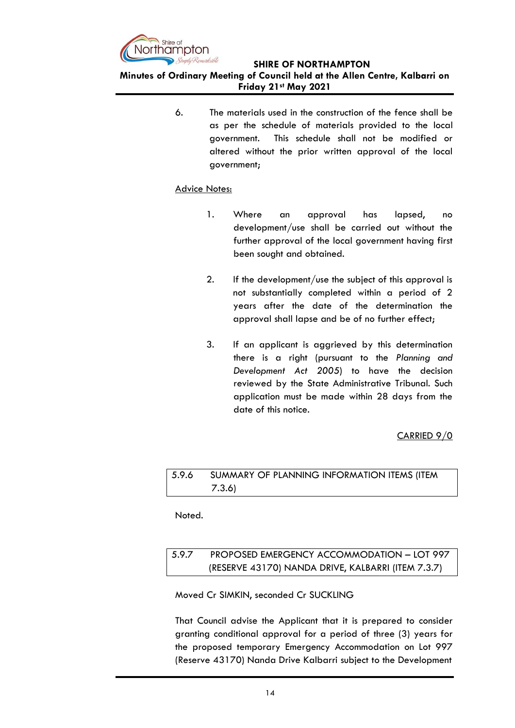

**Minutes of Ordinary Meeting of Council held at the Allen Centre, Kalbarri on Friday 21st May 2021**

> 6. The materials used in the construction of the fence shall be as per the schedule of materials provided to the local government. This schedule shall not be modified or altered without the prior written approval of the local government;

### Advice Notes:

- 1. Where an approval has lapsed, no development/use shall be carried out without the further approval of the local government having first been sought and obtained.
- 2. If the development/use the subject of this approval is not substantially completed within a period of 2 years after the date of the determination the approval shall lapse and be of no further effect;
- 3. If an applicant is aggrieved by this determination there is a right (pursuant to the *Planning and Development Act 2005*) to have the decision reviewed by the State Administrative Tribunal. Such application must be made within 28 days from the date of this notice.

### CARRIED 9/0

# <span id="page-13-1"></span><span id="page-13-0"></span>5.9.6 SUMMARY OF PLANNING INFORMATION ITEMS (ITEM 7.3.6)

Noted.

# <span id="page-13-3"></span><span id="page-13-2"></span>5.9.7 PROPOSED EMERGENCY ACCOMMODATION – LOT 997 (RESERVE 43170) NANDA DRIVE, KALBARRI (ITEM 7.3.7)

### Moved Cr SIMKIN, seconded Cr SUCKLING

That Council advise the Applicant that it is prepared to consider granting conditional approval for a period of three (3) years for the proposed temporary Emergency Accommodation on Lot 997 (Reserve 43170) Nanda Drive Kalbarri subject to the Development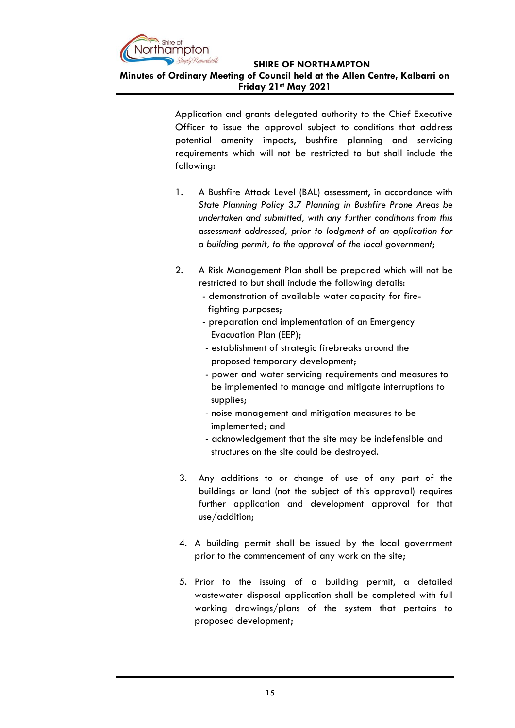

### **Minutes of Ordinary Meeting of Council held at the Allen Centre, Kalbarri on Friday 21st May 2021**

Application and grants delegated authority to the Chief Executive Officer to issue the approval subject to conditions that address potential amenity impacts, bushfire planning and servicing requirements which will not be restricted to but shall include the following:

- 1. A Bushfire Attack Level (BAL) assessment, in accordance with *State Planning Policy 3.7 Planning in Bushfire Prone Areas be undertaken and submitted, with any further conditions from this assessment addressed, prior to lodgment of an application for a building permit, to the approval of the local government*;
- 2. A Risk Management Plan shall be prepared which will not be restricted to but shall include the following details:
	- demonstration of available water capacity for fire fighting purposes;
	- preparation and implementation of an Emergency Evacuation Plan (EEP);
	- establishment of strategic firebreaks around the proposed temporary development;
	- power and water servicing requirements and measures to be implemented to manage and mitigate interruptions to supplies;
	- noise management and mitigation measures to be implemented; and
	- acknowledgement that the site may be indefensible and structures on the site could be destroyed.
- 3. Any additions to or change of use of any part of the buildings or land (not the subject of this approval) requires further application and development approval for that use/addition;
- 4. A building permit shall be issued by the local government prior to the commencement of any work on the site;
- 5. Prior to the issuing of a building permit, a detailed wastewater disposal application shall be completed with full working drawings/plans of the system that pertains to proposed development;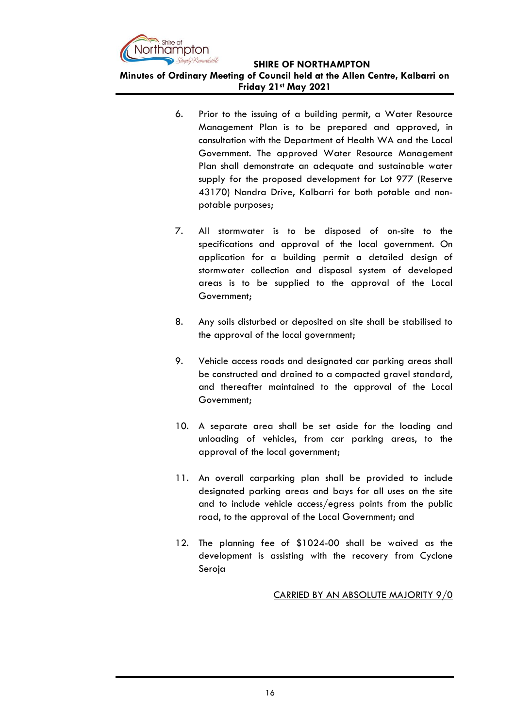

**Minutes of Ordinary Meeting of Council held at the Allen Centre, Kalbarri on Friday 21st May 2021**

- 6. Prior to the issuing of a building permit, a Water Resource Management Plan is to be prepared and approved, in consultation with the Department of Health WA and the Local Government. The approved Water Resource Management Plan shall demonstrate an adequate and sustainable water supply for the proposed development for Lot 977 (Reserve 43170) Nandra Drive, Kalbarri for both potable and nonpotable purposes;
- 7. All stormwater is to be disposed of on-site to the specifications and approval of the local government. On application for a building permit a detailed design of stormwater collection and disposal system of developed areas is to be supplied to the approval of the Local Government;
- 8. Any soils disturbed or deposited on site shall be stabilised to the approval of the local government;
- 9. Vehicle access roads and designated car parking areas shall be constructed and drained to a compacted gravel standard, and thereafter maintained to the approval of the Local Government;
- 10. A separate area shall be set aside for the loading and unloading of vehicles, from car parking areas, to the approval of the local government;
- 11. An overall carparking plan shall be provided to include designated parking areas and bays for all uses on the site and to include vehicle access/egress points from the public road, to the approval of the Local Government; and
- 12. The planning fee of \$1024-00 shall be waived as the development is assisting with the recovery from Cyclone Seroja

CARRIED BY AN ABSOLUTE MAJORITY 9/0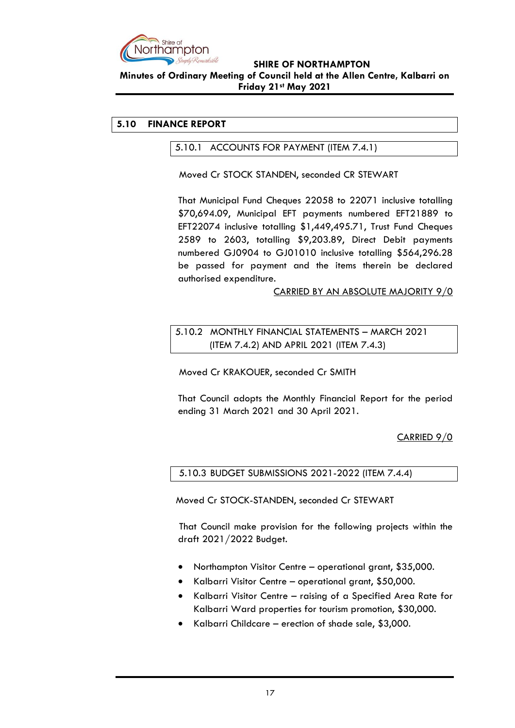

**Minutes of Ordinary Meeting of Council held at the Allen Centre, Kalbarri on Friday 21st May 2021**

## <span id="page-16-1"></span><span id="page-16-0"></span>**5.10 FINANCE REPORT**

5.10.1 ACCOUNTS FOR PAYMENT (ITEM 7.4.1)

Moved Cr STOCK STANDEN, seconded CR STEWART

That Municipal Fund Cheques 22058 to 22071 inclusive totalling \$70,694.09, Municipal EFT payments numbered EFT21889 to EFT22074 inclusive totalling \$1,449,495.71, Trust Fund Cheques 2589 to 2603, totalling \$9,203.89, Direct Debit payments numbered GJ0904 to GJ01010 inclusive totalling \$564,296.28 be passed for payment and the items therein be declared authorised expenditure.

CARRIED BY AN ABSOLUTE MAJORITY 9/0

<span id="page-16-3"></span><span id="page-16-2"></span>5.10.2 MONTHLY FINANCIAL STATEMENTS – MARCH 2021 (ITEM 7.4.2) AND APRIL 2021 (ITEM 7.4.3)

Moved Cr KRAKOUER, seconded Cr SMITH

That Council adopts the Monthly Financial Report for the period ending 31 March 2021 and 30 April 2021.

CARRIED 9/0

<span id="page-16-4"></span>5.10.3 BUDGET SUBMISSIONS 2021-2022 (ITEM 7.4.4)

Moved Cr STOCK-STANDEN, seconded Cr STEWART

That Council make provision for the following projects within the draft 2021/2022 Budget.

- Northampton Visitor Centre operational grant, \$35,000.
- Kalbarri Visitor Centre operational grant, \$50,000.
- Kalbarri Visitor Centre raising of a Specified Area Rate for Kalbarri Ward properties for tourism promotion, \$30,000.
- Kalbarri Childcare erection of shade sale, \$3,000.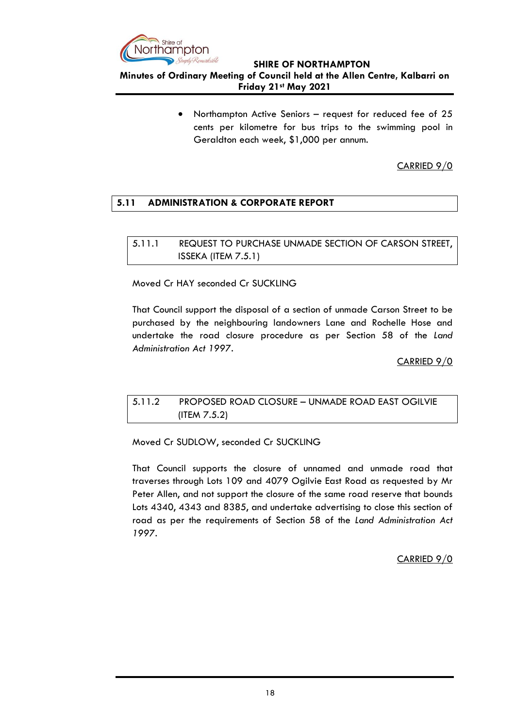

**Minutes of Ordinary Meeting of Council held at the Allen Centre, Kalbarri on Friday 21st May 2021**

> • Northampton Active Seniors – request for reduced fee of 25 cents per kilometre for bus trips to the swimming pool in Geraldton each week, \$1,000 per annum.

> > CARRIED 9/0

### <span id="page-17-0"></span>**5.11 ADMINISTRATION & CORPORATE REPORT**

<span id="page-17-2"></span><span id="page-17-1"></span>5.11.1 REQUEST TO PURCHASE UNMADE SECTION OF CARSON STREET, ISSEKA (ITEM 7.5.1)

Moved Cr HAY seconded Cr SUCKLING

That Council support the disposal of a section of unmade Carson Street to be purchased by the neighbouring landowners Lane and Rochelle Hose and undertake the road closure procedure as per Section 58 of the *Land Administration Act 1997.*

CARRIED 9/0

# <span id="page-17-4"></span><span id="page-17-3"></span>5.11.2 PROPOSED ROAD CLOSURE – UNMADE ROAD EAST OGILVIE (ITEM 7.5.2)

Moved Cr SUDLOW, seconded Cr SUCKLING

That Council supports the closure of unnamed and unmade road that traverses through Lots 109 and 4079 Ogilvie East Road as requested by Mr Peter Allen, and not support the closure of the same road reserve that bounds Lots 4340, 4343 and 8385, and undertake advertising to close this section of road as per the requirements of Section 58 of the *Land Administration Act 1997.*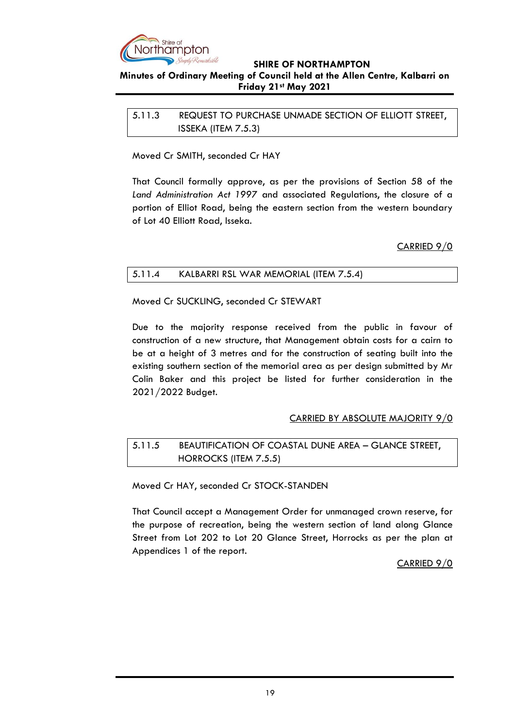

### **Minutes of Ordinary Meeting of Council held at the Allen Centre, Kalbarri on Friday 21st May 2021**

<span id="page-18-1"></span><span id="page-18-0"></span>

| 5.11.3 | REQUEST TO PURCHASE UNMADE SECTION OF ELLIOTT STREET, |
|--------|-------------------------------------------------------|
|        | ISSEKA (ITEM 7.5.3)                                   |

Moved Cr SMITH, seconded Cr HAY

That Council formally approve, as per the provisions of Section 58 of the *Land Administration Act 1997* and associated Regulations, the closure of a portion of Elliot Road, being the eastern section from the western boundary of Lot 40 Elliott Road, Isseka.

CARRIED 9/0

### <span id="page-18-2"></span>5.11.4 KALBARRI RSL WAR MEMORIAL (ITEM 7.5.4)

Moved Cr SUCKLING, seconded Cr STEWART

Due to the majority response received from the public in favour of construction of a new structure, that Management obtain costs for a cairn to be at a height of 3 metres and for the construction of seating built into the existing southern section of the memorial area as per design submitted by Mr Colin Baker and this project be listed for further consideration in the 2021/2022 Budget.

### CARRIED BY ABSOLUTE MAJORITY 9/0

# <span id="page-18-4"></span><span id="page-18-3"></span>5.11.5 BEAUTIFICATION OF COASTAL DUNE AREA – GLANCE STREET, HORROCKS (ITEM 7.5.5)

Moved Cr HAY, seconded Cr STOCK-STANDEN

That Council accept a Management Order for unmanaged crown reserve, for the purpose of recreation, being the western section of land along Glance Street from Lot 202 to Lot 20 Glance Street, Horrocks as per the plan at Appendices 1 of the report.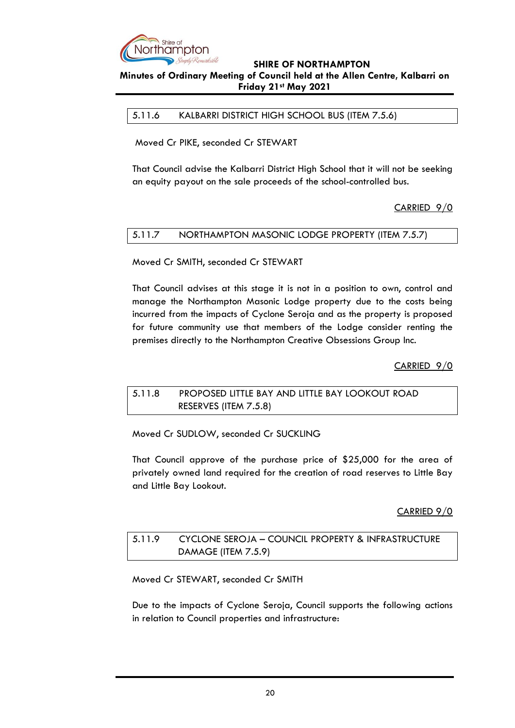

### **Minutes of Ordinary Meeting of Council held at the Allen Centre, Kalbarri on Friday 21st May 2021**

<span id="page-19-0"></span>5.11.6 KALBARRI DISTRICT HIGH SCHOOL BUS (ITEM 7.5.6)

Moved Cr PIKE, seconded Cr STEWART

That Council advise the Kalbarri District High School that it will not be seeking an equity payout on the sale proceeds of the school-controlled bus.

CARRIED 9/0

### <span id="page-19-1"></span>5.11.7 NORTHAMPTON MASONIC LODGE PROPERTY (ITEM 7.5.7)

Moved Cr SMITH, seconded Cr STEWART

That Council advises at this stage it is not in a position to own, control and manage the Northampton Masonic Lodge property due to the costs being incurred from the impacts of Cyclone Seroja and as the property is proposed for future community use that members of the Lodge consider renting the premises directly to the Northampton Creative Obsessions Group Inc.

CARRIED 9/0

<span id="page-19-3"></span><span id="page-19-2"></span>5.11.8 PROPOSED LITTLE BAY AND LITTLE BAY LOOKOUT ROAD RESERVES (ITEM 7.5.8)

Moved Cr SUDLOW, seconded Cr SUCKLING

That Council approve of the purchase price of \$25,000 for the area of privately owned land required for the creation of road reserves to Little Bay and Little Bay Lookout.

CARRIED 9/0

### <span id="page-19-5"></span><span id="page-19-4"></span>5.11.9 CYCLONE SEROJA – COUNCIL PROPERTY & INFRASTRUCTURE DAMAGE (ITEM 7.5.9)

Moved Cr STEWART, seconded Cr SMITH

Due to the impacts of Cyclone Seroja, Council supports the following actions in relation to Council properties and infrastructure: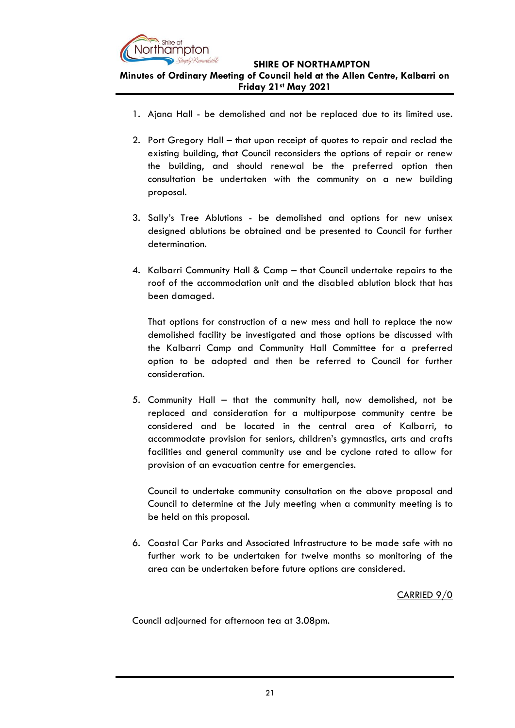

**Minutes of Ordinary Meeting of Council held at the Allen Centre, Kalbarri on Friday 21st May 2021**

- 1. Ajana Hall be demolished and not be replaced due to its limited use.
- 2. Port Gregory Hall that upon receipt of quotes to repair and reclad the existing building, that Council reconsiders the options of repair or renew the building, and should renewal be the preferred option then consultation be undertaken with the community on a new building proposal.
- 3. Sally's Tree Ablutions be demolished and options for new unisex designed ablutions be obtained and be presented to Council for further determination.
- 4. Kalbarri Community Hall & Camp that Council undertake repairs to the roof of the accommodation unit and the disabled ablution block that has been damaged.

That options for construction of a new mess and hall to replace the now demolished facility be investigated and those options be discussed with the Kalbarri Camp and Community Hall Committee for a preferred option to be adopted and then be referred to Council for further consideration.

5. Community Hall – that the community hall, now demolished, not be replaced and consideration for a multipurpose community centre be considered and be located in the central area of Kalbarri, to accommodate provision for seniors, children's gymnastics, arts and crafts facilities and general community use and be cyclone rated to allow for provision of an evacuation centre for emergencies.

Council to undertake community consultation on the above proposal and Council to determine at the July meeting when a community meeting is to be held on this proposal.

6. Coastal Car Parks and Associated Infrastructure to be made safe with no further work to be undertaken for twelve months so monitoring of the area can be undertaken before future options are considered.

CARRIED 9/0

Council adjourned for afternoon tea at 3.08pm.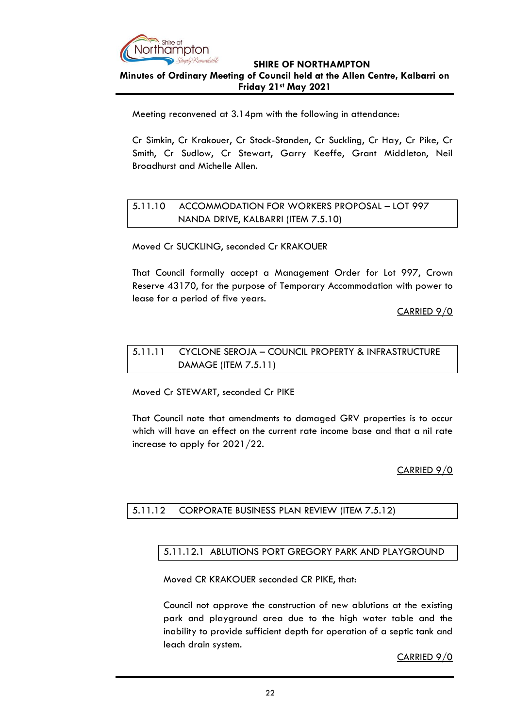

### **Minutes of Ordinary Meeting of Council held at the Allen Centre, Kalbarri on Friday 21st May 2021**

Meeting reconvened at 3.14pm with the following in attendance:

Cr Simkin, Cr Krakouer, Cr Stock-Standen, Cr Suckling, Cr Hay, Cr Pike, Cr Smith, Cr Sudlow, Cr Stewart, Garry Keeffe, Grant Middleton, Neil Broadhurst and Michelle Allen.

# <span id="page-21-1"></span><span id="page-21-0"></span>5.11.10 ACCOMMODATION FOR WORKERS PROPOSAL – LOT 997 NANDA DRIVE, KALBARRI (ITEM 7.5.10)

Moved Cr SUCKLING, seconded Cr KRAKOUER

That Council formally accept a Management Order for Lot 997, Crown Reserve 43170, for the purpose of Temporary Accommodation with power to lease for a period of five years.

CARRIED 9/0

### <span id="page-21-3"></span><span id="page-21-2"></span>5.11.11 CYCLONE SEROJA – COUNCIL PROPERTY & INFRASTRUCTURE DAMAGE (ITEM 7.5.11)

Moved Cr STEWART, seconded Cr PIKE

That Council note that amendments to damaged GRV properties is to occur which will have an effect on the current rate income base and that a nil rate increase to apply for 2021/22.

### CARRIED 9/0

### <span id="page-21-5"></span><span id="page-21-4"></span>5.11.12 CORPORATE BUSINESS PLAN REVIEW (ITEM 7.5.12)

### 5.11.12.1 ABLUTIONS PORT GREGORY PARK AND PLAYGROUND

Moved CR KRAKOUER seconded CR PIKE, that:

Council not approve the construction of new ablutions at the existing park and playground area due to the high water table and the inability to provide sufficient depth for operation of a septic tank and leach drain system.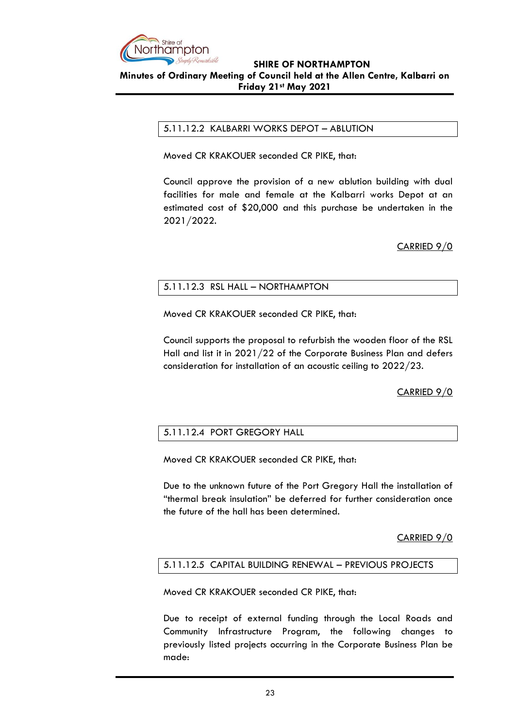

### **SHIRE OF NORTHAMPTON Minutes of Ordinary Meeting of Council held at the Allen Centre, Kalbarri on Friday 21st May 2021**

### <span id="page-22-0"></span>5.11.12.2 KALBARRI WORKS DEPOT – ABLUTION

Moved CR KRAKOUER seconded CR PIKE, that:

Council approve the provision of a new ablution building with dual facilities for male and female at the Kalbarri works Depot at an estimated cost of \$20,000 and this purchase be undertaken in the 2021/2022.

CARRIED 9/0

### <span id="page-22-1"></span>5.11.12.3 RSL HALL – NORTHAMPTON

Moved CR KRAKOUER seconded CR PIKE, that:

Council supports the proposal to refurbish the wooden floor of the RSL Hall and list it in 2021/22 of the Corporate Business Plan and defers consideration for installation of an acoustic ceiling to 2022/23.

CARRIED 9/0

### <span id="page-22-2"></span>5.11.12.4 PORT GREGORY HALL

Moved CR KRAKOUER seconded CR PIKE, that:

Due to the unknown future of the Port Gregory Hall the installation of "thermal break insulation" be deferred for further consideration once the future of the hall has been determined.

CARRIED 9/0

### <span id="page-22-3"></span>5.11.12.5 CAPITAL BUILDING RENEWAL – PREVIOUS PROJECTS

Moved CR KRAKOUER seconded CR PIKE, that:

Due to receipt of external funding through the Local Roads and Community Infrastructure Program, the following changes to previously listed projects occurring in the Corporate Business Plan be made: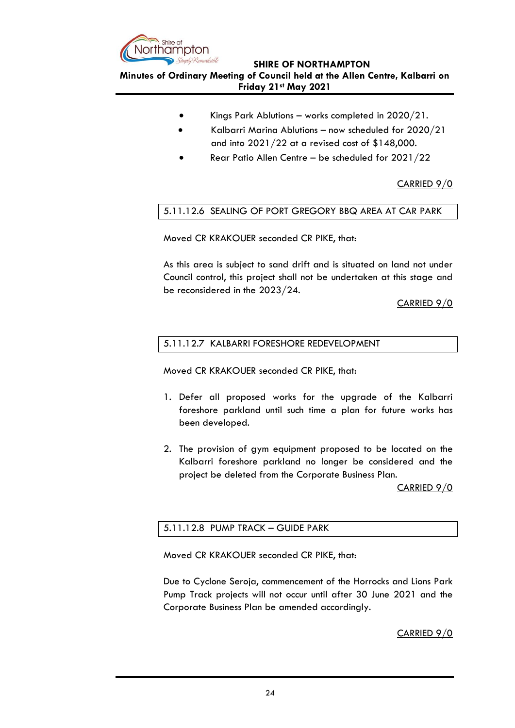

**Minutes of Ordinary Meeting of Council held at the Allen Centre, Kalbarri on Friday 21st May 2021**

- Kings Park Ablutions works completed in 2020/21.
- Kalbarri Marina Ablutions now scheduled for 2020/21 and into 2021/22 at a revised cost of \$148,000.
- Rear Patio Allen Centre be scheduled for 2021/22

CARRIED 9/0

### <span id="page-23-0"></span>5.11.12.6 SEALING OF PORT GREGORY BBQ AREA AT CAR PARK

Moved CR KRAKOUER seconded CR PIKE, that:

As this area is subject to sand drift and is situated on land not under Council control, this project shall not be undertaken at this stage and be reconsidered in the 2023/24.

CARRIED 9/0

### <span id="page-23-1"></span>5.11.12.7 KALBARRI FORESHORE REDEVELOPMENT

Moved CR KRAKOUER seconded CR PIKE, that:

- 1. Defer all proposed works for the upgrade of the Kalbarri foreshore parkland until such time a plan for future works has been developed.
- 2. The provision of gym equipment proposed to be located on the Kalbarri foreshore parkland no longer be considered and the project be deleted from the Corporate Business Plan.

CARRIED 9/0

### <span id="page-23-2"></span>5.11.12.8 PUMP TRACK – GUIDE PARK

Moved CR KRAKOUER seconded CR PIKE, that:

Due to Cyclone Seroja, commencement of the Horrocks and Lions Park Pump Track projects will not occur until after 30 June 2021 and the Corporate Business Plan be amended accordingly.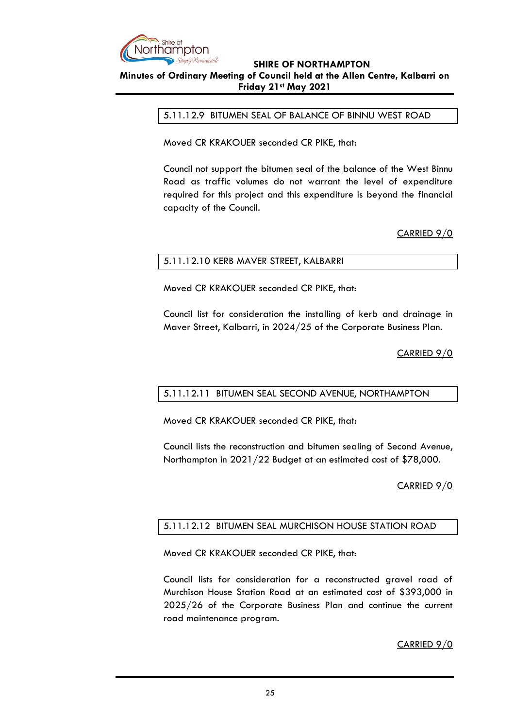

### <span id="page-24-0"></span>**Minutes of Ordinary Meeting of Council held at the Allen Centre, Kalbarri on Friday 21st May 2021**

#### 5.11.12.9 BITUMEN SEAL OF BALANCE OF BINNU WEST ROAD

Moved CR KRAKOUER seconded CR PIKE, that:

Council not support the bitumen seal of the balance of the West Binnu Road as traffic volumes do not warrant the level of expenditure required for this project and this expenditure is beyond the financial capacity of the Council.

### CARRIED 9/0

### <span id="page-24-1"></span>5.11.12.10 KERB MAVER STREET, KALBARRI

Moved CR KRAKOUER seconded CR PIKE, that:

Council list for consideration the installing of kerb and drainage in Maver Street, Kalbarri, in 2024/25 of the Corporate Business Plan.

CARRIED 9/0

### <span id="page-24-2"></span>5.11.12.11 BITUMEN SEAL SECOND AVENUE, NORTHAMPTON

Moved CR KRAKOUER seconded CR PIKE, that:

Council lists the reconstruction and bitumen sealing of Second Avenue, Northampton in 2021/22 Budget at an estimated cost of \$78,000.

### CARRIED 9/0

### <span id="page-24-3"></span>5.11.12.12 BITUMEN SEAL MURCHISON HOUSE STATION ROAD

Moved CR KRAKOUER seconded CR PIKE, that:

Council lists for consideration for a reconstructed gravel road of Murchison House Station Road at an estimated cost of \$393,000 in 2025/26 of the Corporate Business Plan and continue the current road maintenance program.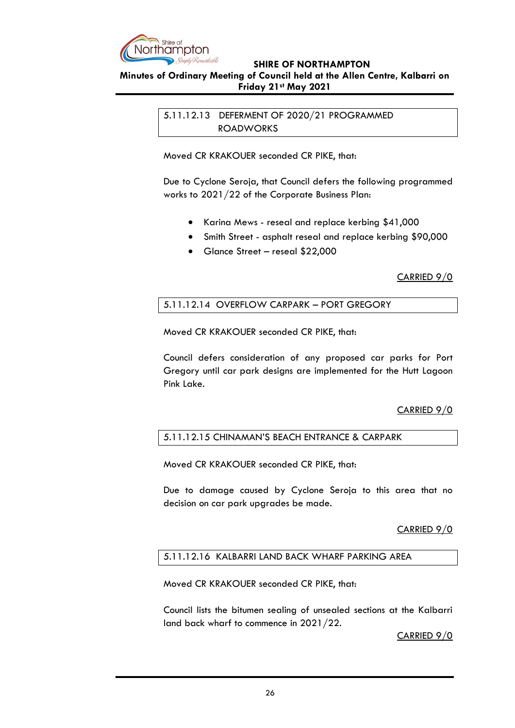

### <span id="page-25-0"></span>**Minutes of Ordinary Meeting of Council held at the Allen Centre, Kalbarri on Friday 21st May 2021**

<span id="page-25-1"></span>5.11.12.13 DEFERMENT OF 2020/21 PROGRAMMED ROADWORKS

Moved CR KRAKOUER seconded CR PIKE, that:

Due to Cyclone Seroja, that Council defers the following programmed works to 2021/22 of the Corporate Business Plan:

- Karina Mews reseal and replace kerbing \$41,000
- Smith Street asphalt reseal and replace kerbing \$90,000
- Glance Street reseal \$22,000

CARRIED 9/0

### <span id="page-25-2"></span>5.11.12.14 OVERFLOW CARPARK – PORT GREGORY

Moved CR KRAKOUER seconded CR PIKE, that:

Council defers consideration of any proposed car parks for Port Gregory until car park designs are implemented for the Hutt Lagoon Pink Lake.

### CARRIED 9/0

### <span id="page-25-3"></span>5.11.12.15 CHINAMAN'S BEACH ENTRANCE & CARPARK

Moved CR KRAKOUER seconded CR PIKE, that:

Due to damage caused by Cyclone Seroja to this area that no decision on car park upgrades be made.

### CARRIED 9/0

### <span id="page-25-4"></span>5.11.12.16 KALBARRI LAND BACK WHARF PARKING AREA

Moved CR KRAKOUER seconded CR PIKE, that:

Council lists the bitumen sealing of unsealed sections at the Kalbarri land back wharf to commence in 2021/22.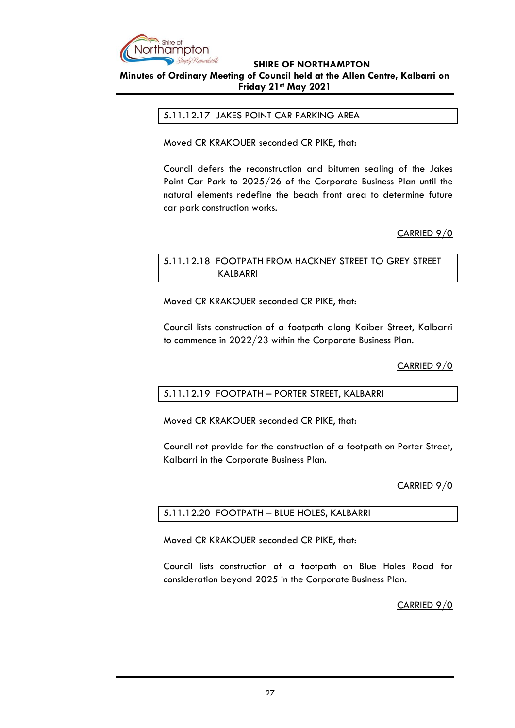

### <span id="page-26-0"></span>**Minutes of Ordinary Meeting of Council held at the Allen Centre, Kalbarri on Friday 21st May 2021**

### 5.11.12.17 JAKES POINT CAR PARKING AREA

Moved CR KRAKOUER seconded CR PIKE, that:

Council defers the reconstruction and bitumen sealing of the Jakes Point Car Park to 2025/26 of the Corporate Business Plan until the natural elements redefine the beach front area to determine future car park construction works.

### CARRIED 9/0

### <span id="page-26-2"></span><span id="page-26-1"></span>5.11.12.18 FOOTPATH FROM HACKNEY STREET TO GREY STREET KALBARRI

Moved CR KRAKOUER seconded CR PIKE, that:

Council lists construction of a footpath along Kaiber Street, Kalbarri to commence in 2022/23 within the Corporate Business Plan.

CARRIED 9/0

### <span id="page-26-3"></span>5.11.12.19 FOOTPATH – PORTER STREET, KALBARRI

Moved CR KRAKOUER seconded CR PIKE, that:

Council not provide for the construction of a footpath on Porter Street, Kalbarri in the Corporate Business Plan.

#### CARRIED 9/0

### <span id="page-26-4"></span>5.11.12.20 FOOTPATH – BLUE HOLES, KALBARRI

Moved CR KRAKOUER seconded CR PIKE, that:

Council lists construction of a footpath on Blue Holes Road for consideration beyond 2025 in the Corporate Business Plan.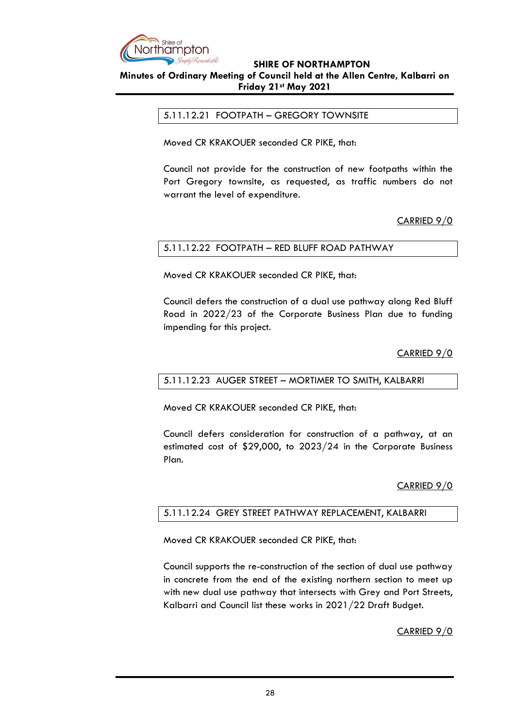

### <span id="page-27-0"></span>**Minutes of Ordinary Meeting of Council held at the Allen Centre, Kalbarri on Friday 21st May 2021**

### 5.11.12.21 FOOTPATH – GREGORY TOWNSITE

Moved CR KRAKOUER seconded CR PIKE, that:

Council not provide for the construction of new footpaths within the Port Gregory townsite, as requested, as traffic numbers do not warrant the level of expenditure.

CARRIED 9/0

### <span id="page-27-1"></span>5.11.12.22 FOOTPATH – RED BLUFF ROAD PATHWAY

Moved CR KRAKOUER seconded CR PIKE, that:

Council defers the construction of a dual use pathway along Red Bluff Road in 2022/23 of the Corporate Business Plan due to funding impending for this project.

### CARRIED 9/0

#### <span id="page-27-2"></span>5.11.12.23 AUGER STREET – MORTIMER TO SMITH, KALBARRI

Moved CR KRAKOUER seconded CR PIKE, that:

Council defers consideration for construction of a pathway, at an estimated cost of \$29,000, to 2023/24 in the Corporate Business Plan.

### CARRIED 9/0

#### <span id="page-27-3"></span>5.11.12.24 GREY STREET PATHWAY REPLACEMENT, KALBARRI

Moved CR KRAKOUER seconded CR PIKE, that:

Council supports the re-construction of the section of dual use pathway in concrete from the end of the existing northern section to meet up with new dual use pathway that intersects with Grey and Port Streets, Kalbarri and Council list these works in 2021/22 Draft Budget.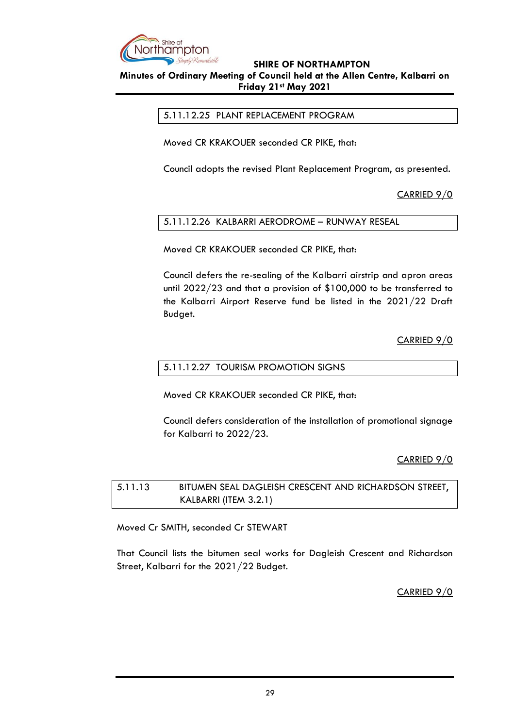

<span id="page-28-0"></span>**Minutes of Ordinary Meeting of Council held at the Allen Centre, Kalbarri on Friday 21st May 2021**

5.11.12.25 PLANT REPLACEMENT PROGRAM

Moved CR KRAKOUER seconded CR PIKE, that:

Council adopts the revised Plant Replacement Program, as presented.

CARRIED 9/0

<span id="page-28-1"></span>5.11.12.26 KALBARRI AERODROME – RUNWAY RESEAL

Moved CR KRAKOUER seconded CR PIKE, that:

Council defers the re-sealing of the Kalbarri airstrip and apron areas until 2022/23 and that a provision of \$100,000 to be transferred to the Kalbarri Airport Reserve fund be listed in the 2021/22 Draft Budget.

CARRIED 9/0

### <span id="page-28-2"></span>5.11.12.27 TOURISM PROMOTION SIGNS

Moved CR KRAKOUER seconded CR PIKE, that:

Council defers consideration of the installation of promotional signage for Kalbarri to 2022/23.

CARRIED 9/0

<span id="page-28-4"></span><span id="page-28-3"></span>5.11.13 BITUMEN SEAL DAGLEISH CRESCENT AND RICHARDSON STREET, KALBARRI (ITEM 3.2.1)

Moved Cr SMITH, seconded Cr STEWART

That Council lists the bitumen seal works for Dagleish Crescent and Richardson Street, Kalbarri for the 2021/22 Budget.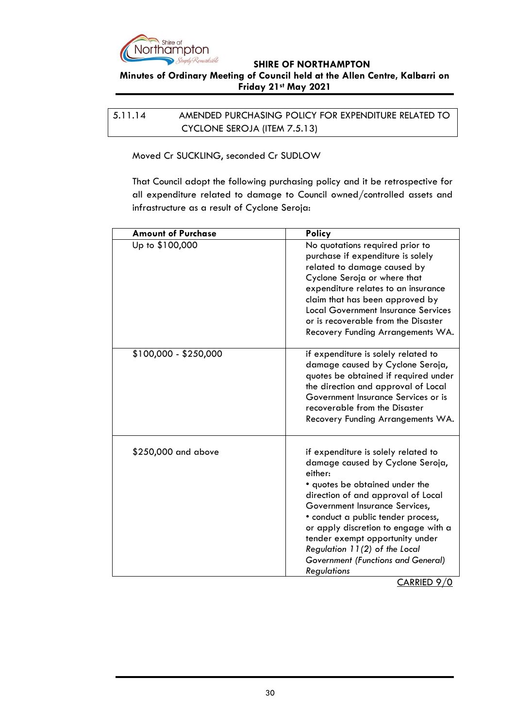

### **Minutes of Ordinary Meeting of Council held at the Allen Centre, Kalbarri on Friday 21st May 2021**

<span id="page-29-0"></span>5.11.14 AMENDED PURCHASING POLICY FOR EXPENDITURE RELATED TO CYCLONE SEROJA (ITEM 7.5.13)

<span id="page-29-1"></span>Moved Cr SUCKLING, seconded Cr SUDLOW

That Council adopt the following purchasing policy and it be retrospective for all expenditure related to damage to Council owned/controlled assets and infrastructure as a result of Cyclone Seroja:

| <b>Amount of Purchase</b> | <b>Policy</b>                                                                                                                                                                                                                                                                                                                                                                                              |
|---------------------------|------------------------------------------------------------------------------------------------------------------------------------------------------------------------------------------------------------------------------------------------------------------------------------------------------------------------------------------------------------------------------------------------------------|
| Up to \$100,000           | No quotations required prior to<br>purchase if expenditure is solely<br>related to damage caused by<br>Cyclone Seroja or where that<br>expenditure relates to an insurance<br>claim that has been approved by<br><b>Local Government Insurance Services</b><br>or is recoverable from the Disaster<br>Recovery Funding Arrangements WA.                                                                    |
| \$100,000 - \$250,000     | if expenditure is solely related to<br>damage caused by Cyclone Seroja,<br>quotes be obtained if required under<br>the direction and approval of Local<br>Government Insurance Services or is<br>recoverable from the Disaster<br>Recovery Funding Arrangements WA.                                                                                                                                        |
| \$250,000 and above       | if expenditure is solely related to<br>damage caused by Cyclone Seroja,<br>either:<br>• quotes be obtained under the<br>direction of and approval of Local<br>Government Insurance Services,<br>• conduct a public tender process,<br>or apply discretion to engage with a<br>tender exempt opportunity under<br>Regulation 11(2) of the Local<br><b>Government (Functions and General)</b><br>Regulations |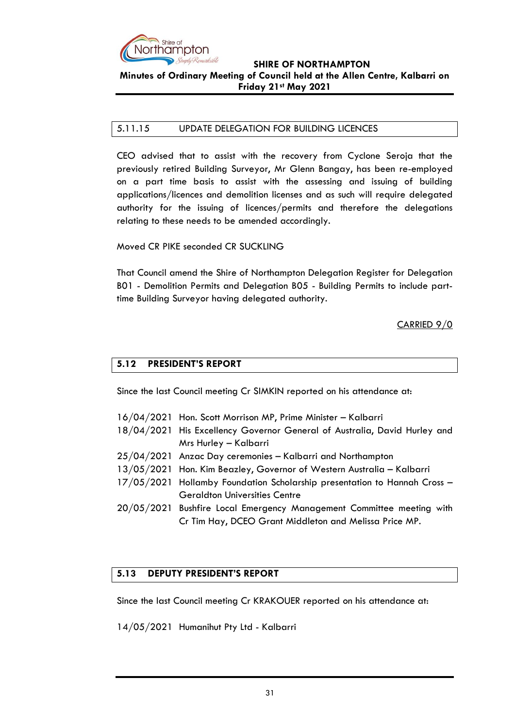

### **SHIRE OF NORTHAMPTON Minutes of Ordinary Meeting of Council held at the Allen Centre, Kalbarri on Friday 21st May 2021**

### <span id="page-30-0"></span>5.11.15 UPDATE DELEGATION FOR BUILDING LICENCES

CEO advised that to assist with the recovery from Cyclone Seroja that the previously retired Building Surveyor, Mr Glenn Bangay, has been re-employed on a part time basis to assist with the assessing and issuing of building applications/licences and demolition licenses and as such will require delegated authority for the issuing of licences/permits and therefore the delegations relating to these needs to be amended accordingly.

Moved CR PIKE seconded CR SUCKLING

That Council amend the Shire of Northampton Delegation Register for Delegation B01 - Demolition Permits and Delegation B05 - Building Permits to include parttime Building Surveyor having delegated authority.

CARRIED 9/0

### <span id="page-30-1"></span>**5.12 PRESIDENT'S REPORT**

Since the last Council meeting Cr SIMKIN reported on his attendance at:

- 16/04/2021 Hon. Scott Morrison MP, Prime Minister Kalbarri
- 18/04/2021 His Excellency Governor General of Australia, David Hurley and Mrs Hurley – Kalbarri
- 25/04/2021 Anzac Day ceremonies Kalbarri and Northampton
- 13/05/2021 Hon. Kim Beazley, Governor of Western Australia Kalbarri
- 17/05/2021 Hollamby Foundation Scholarship presentation to Hannah Cross Geraldton Universities Centre
- 20/05/2021 Bushfire Local Emergency Management Committee meeting with Cr Tim Hay, DCEO Grant Middleton and Melissa Price MP.

### <span id="page-30-2"></span>**5.13 DEPUTY PRESIDENT'S REPORT**

Since the last Council meeting Cr KRAKOUER reported on his attendance at:

14/05/2021 Humanihut Pty Ltd - Kalbarri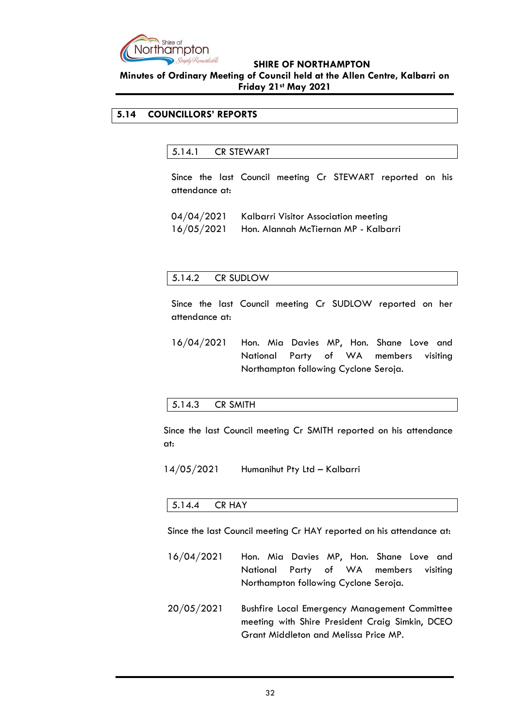

### **Minutes of Ordinary Meeting of Council held at the Allen Centre, Kalbarri on Friday 21st May 2021**

### <span id="page-31-1"></span><span id="page-31-0"></span>**5.14 COUNCILLORS' REPORTS**

### 5.14.1 CR STEWART

Since the last Council meeting Cr STEWART reported on his attendance at:

| 04/04/2021 | Kalbarri Visitor Association meeting |
|------------|--------------------------------------|
| 16/05/2021 | Hon. Alannah McTiernan MP - Kalbarri |

### <span id="page-31-2"></span>5.14.2 CR SUDLOW

Since the last Council meeting Cr SUDLOW reported on her attendance at:

16/04/2021 Hon. Mia Davies MP, Hon. Shane Love and National Party of WA members visiting Northampton following Cyclone Seroja.

#### <span id="page-31-3"></span>5.14.3 CR SMITH

Since the last Council meeting Cr SMITH reported on his attendance at:

<span id="page-31-4"></span>14/05/2021 Humanihut Pty Ltd – Kalbarri

#### 5.14.4 CR HAY

Since the last Council meeting Cr HAY reported on his attendance at:

- 16/04/2021 Hon. Mia Davies MP, Hon. Shane Love and National Party of WA members visiting Northampton following Cyclone Seroja.
- 20/05/2021 Bushfire Local Emergency Management Committee meeting with Shire President Craig Simkin, DCEO Grant Middleton and Melissa Price MP.